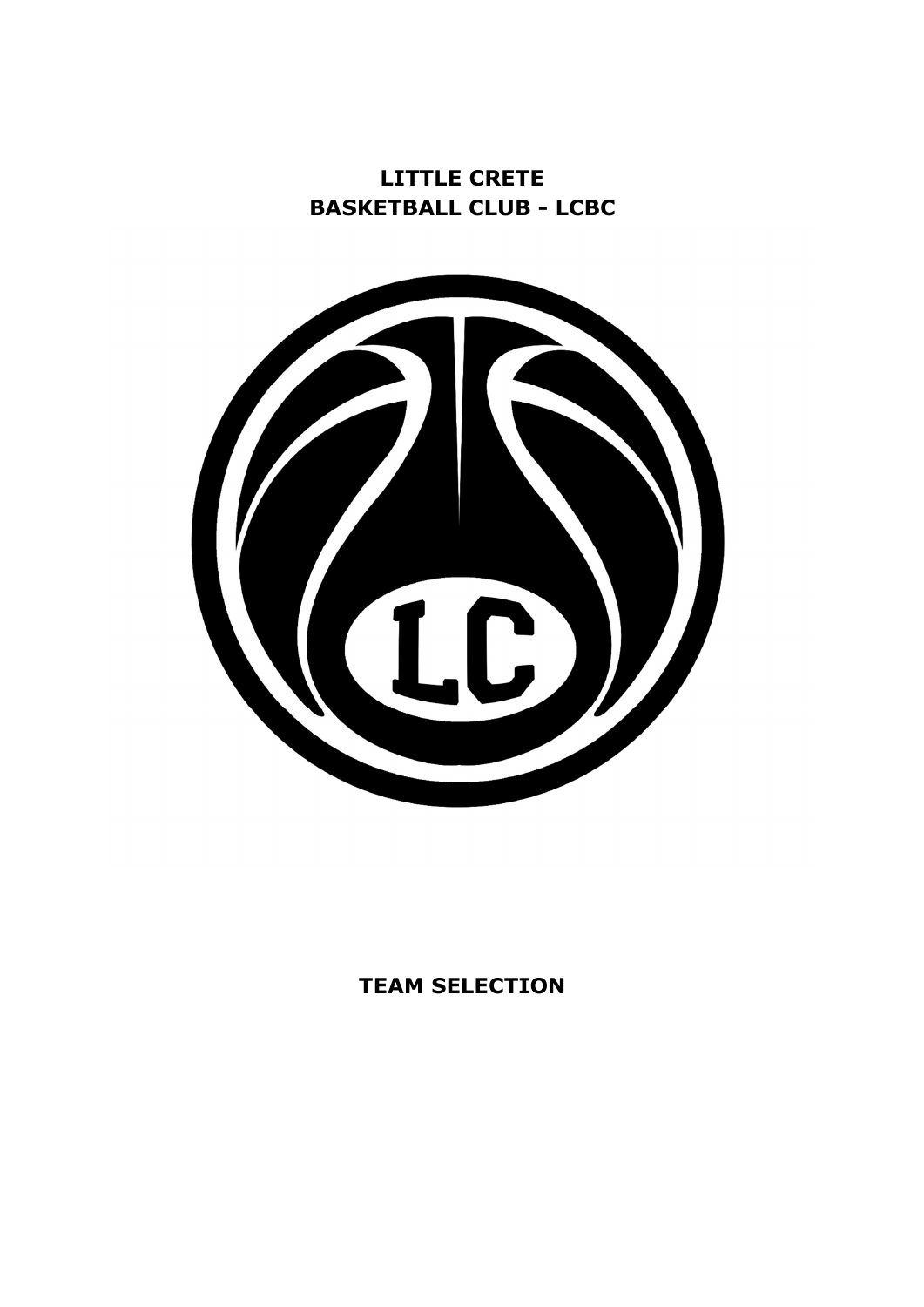LITTLE CRETE BASKETBALL CLUB - LCBC



TEAM SELECTION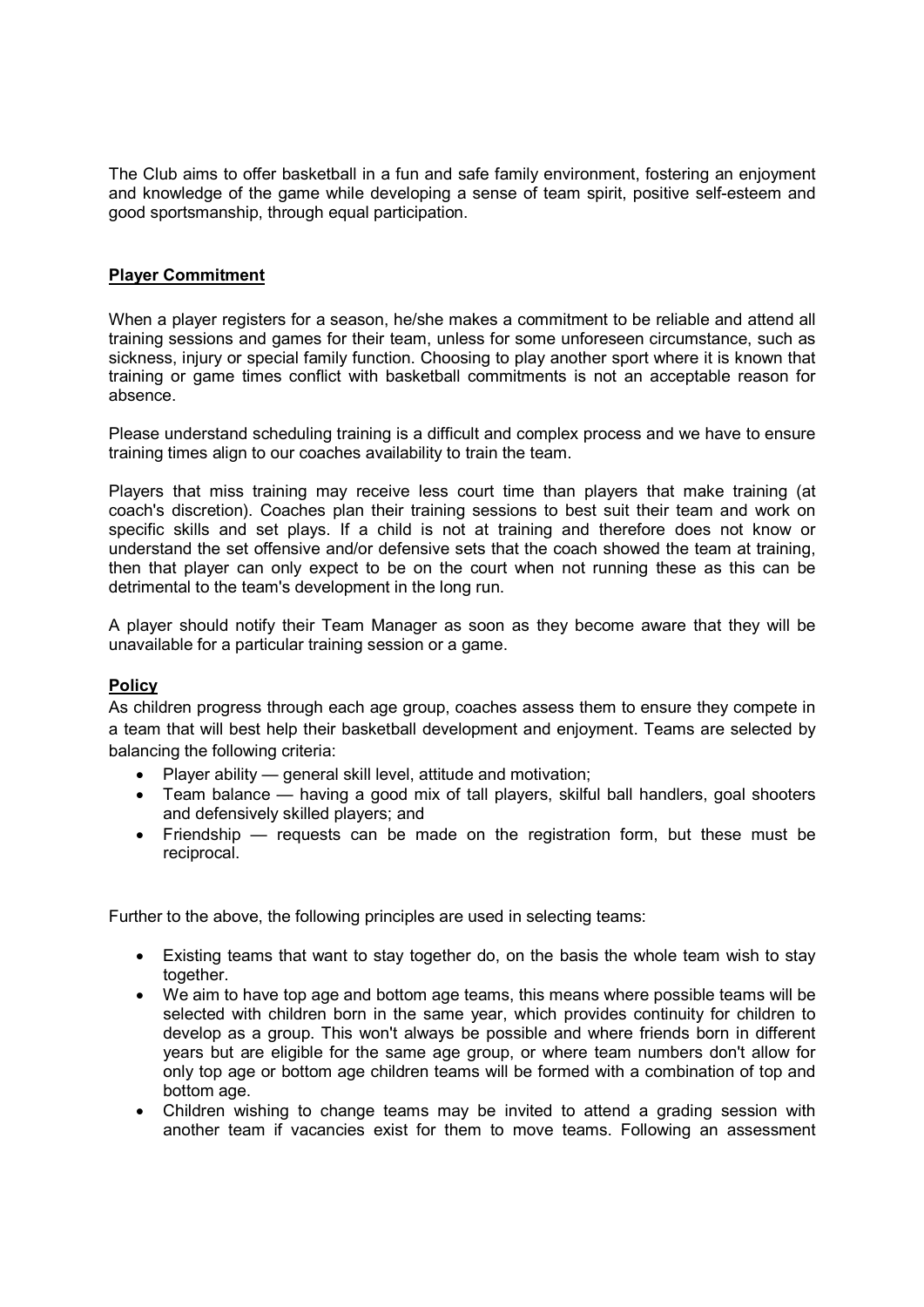The Club aims to offer basketball in a fun and safe family environment, fostering an enjoyment and knowledge of the game while developing a sense of team spirit, positive self-esteem and good sportsmanship, through equal participation.

# Player Commitment

When a player registers for a season, he/she makes a commitment to be reliable and attend all training sessions and games for their team, unless for some unforeseen circumstance, such as sickness, injury or special family function. Choosing to play another sport where it is known that training or game times conflict with basketball commitments is not an acceptable reason for absence.

Please understand scheduling training is a difficult and complex process and we have to ensure training times align to our coaches availability to train the team.

Players that miss training may receive less court time than players that make training (at coach's discretion). Coaches plan their training sessions to best suit their team and work on specific skills and set plays. If a child is not at training and therefore does not know or understand the set offensive and/or defensive sets that the coach showed the team at training, then that player can only expect to be on the court when not running these as this can be detrimental to the team's development in the long run.

A player should notify their Team Manager as soon as they become aware that they will be unavailable for a particular training session or a game.

### **Policy**

As children progress through each age group, coaches assess them to ensure they compete in a team that will best help their basketball development and enjoyment. Teams are selected by balancing the following criteria:

- Player ability general skill level, attitude and motivation:
- Team balance having a good mix of tall players, skilful ball handlers, goal shooters and defensively skilled players; and
- Friendship requests can be made on the registration form, but these must be reciprocal.

Further to the above, the following principles are used in selecting teams:

- Existing teams that want to stay together do, on the basis the whole team wish to stay together.
- We aim to have top age and bottom age teams, this means where possible teams will be selected with children born in the same year, which provides continuity for children to develop as a group. This won't always be possible and where friends born in different years but are eligible for the same age group, or where team numbers don't allow for only top age or bottom age children teams will be formed with a combination of top and bottom age.
- Children wishing to change teams may be invited to attend a grading session with another team if vacancies exist for them to move teams. Following an assessment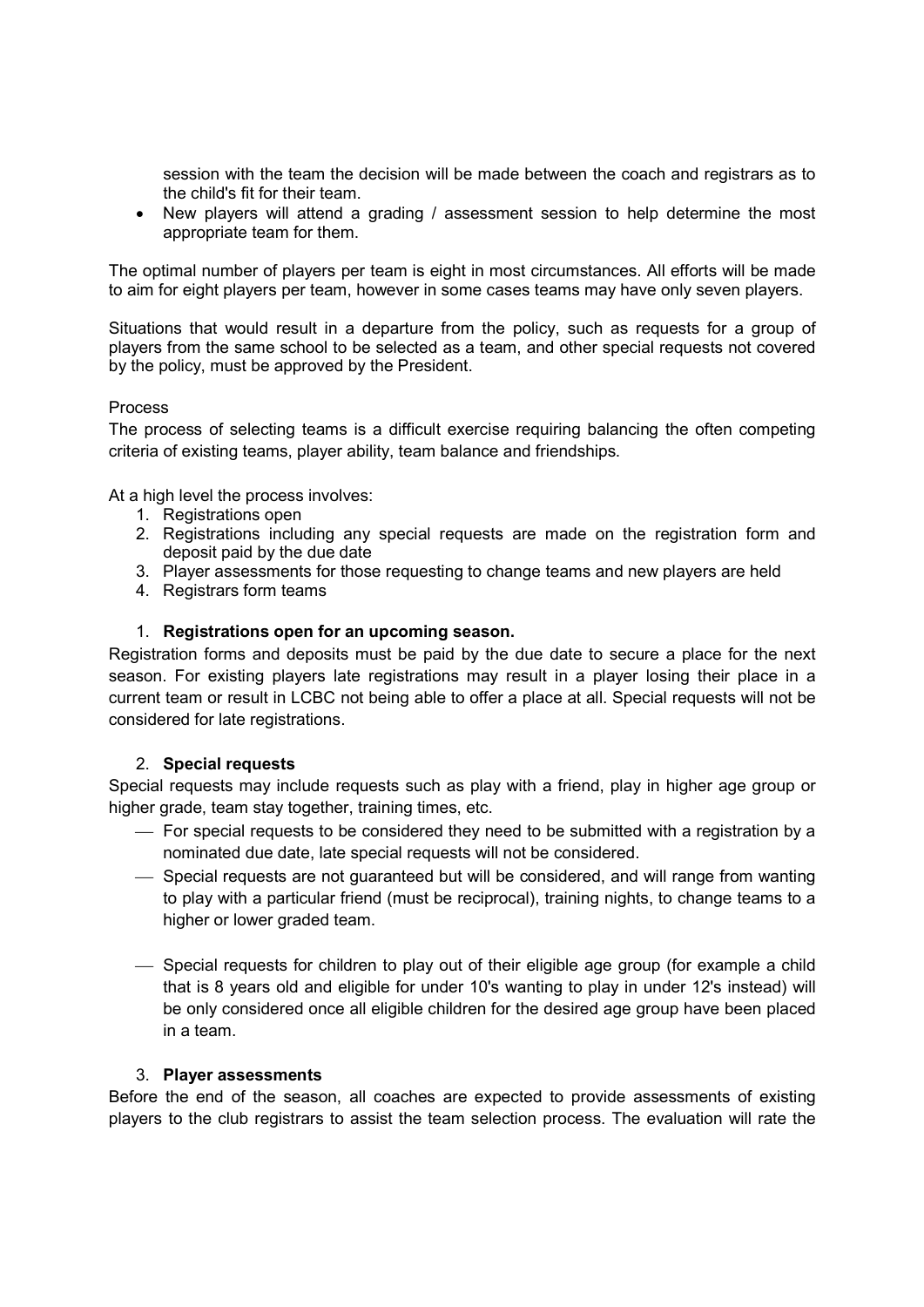session with the team the decision will be made between the coach and registrars as to the child's fit for their team.

• New players will attend a grading / assessment session to help determine the most appropriate team for them.

The optimal number of players per team is eight in most circumstances. All efforts will be made to aim for eight players per team, however in some cases teams may have only seven players.

Situations that would result in a departure from the policy, such as requests for a group of players from the same school to be selected as a team, and other special requests not covered by the policy, must be approved by the President.

## Process

The process of selecting teams is a difficult exercise requiring balancing the often competing criteria of existing teams, player ability, team balance and friendships.

At a high level the process involves:

- 1. Registrations open
- 2. Registrations including any special requests are made on the registration form and deposit paid by the due date
- 3. Player assessments for those requesting to change teams and new players are held
- 4. Registrars form teams

## 1. Registrations open for an upcoming season.

Registration forms and deposits must be paid by the due date to secure a place for the next season. For existing players late registrations may result in a player losing their place in a current team or result in LCBC not being able to offer a place at all. Special requests will not be considered for late registrations.

### 2. Special requests

Special requests may include requests such as play with a friend, play in higher age group or higher grade, team stay together, training times, etc.

- For special requests to be considered they need to be submitted with a registration by a nominated due date, late special requests will not be considered.
- Special requests are not guaranteed but will be considered, and will range from wanting to play with a particular friend (must be reciprocal), training nights, to change teams to a higher or lower graded team.
- Special requests for children to play out of their eligible age group (for example a child that is 8 years old and eligible for under 10's wanting to play in under 12's instead) will be only considered once all eligible children for the desired age group have been placed in a team.

### 3. Player assessments

Before the end of the season, all coaches are expected to provide assessments of existing players to the club registrars to assist the team selection process. The evaluation will rate the